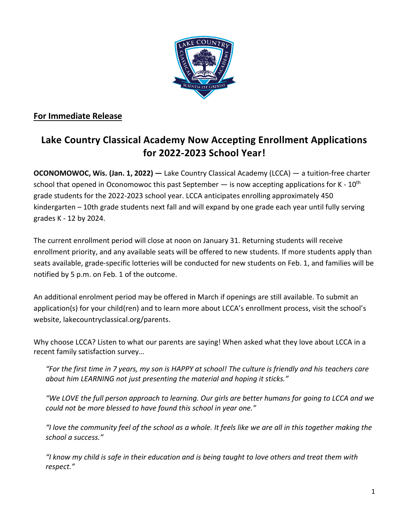

## **For Immediate Release**

## **Lake Country Classical Academy Now Accepting Enrollment Applications for 2022-2023 School Year!**

**OCONOMOWOC, Wis. (Jan. 1, 2022) —** Lake Country Classical Academy (LCCA) — a tuition-free charter school that opened in Oconomowoc this past September  $-$  is now accepting applications for K - 10<sup>th</sup> grade students for the 2022-2023 school year. LCCA anticipates enrolling approximately 450 kindergarten – 10th grade students next fall and will expand by one grade each year until fully serving grades K - 12 by 2024.

The current enrollment period will close at noon on January 31. Returning students will receive enrollment priority, and any available seats will be offered to new students. If more students apply than seats available, grade-specific lotteries will be conducted for new students on Feb. 1, and families will be notified by 5 p.m. on Feb. 1 of the outcome.

An additional enrolment period may be offered in March if openings are still available. To submit an application(s) for your child(ren) and to learn more about LCCA's enrollment process, visit the school's website, [lakecountryclassical.org/parents.](http://www.lakecountryclassical.org/parents)

Why choose LCCA? Listen to what our parents are saying! When asked what they love about LCCA in a recent family satisfaction survey…

*"For the first time in 7 years, my son is HAPPY at school! The culture is friendly and his teachers care about him LEARNING not just presenting the material and hoping it sticks."*

*"We LOVE the full person approach to learning. Our girls are better humans for going to LCCA and we could not be more blessed to have found this school in year one."*

*"I love the community feel of the school as a whole. It feels like we are all in this together making the school a success."*

*"I know my child is safe in their education and is being taught to love others and treat them with respect."*